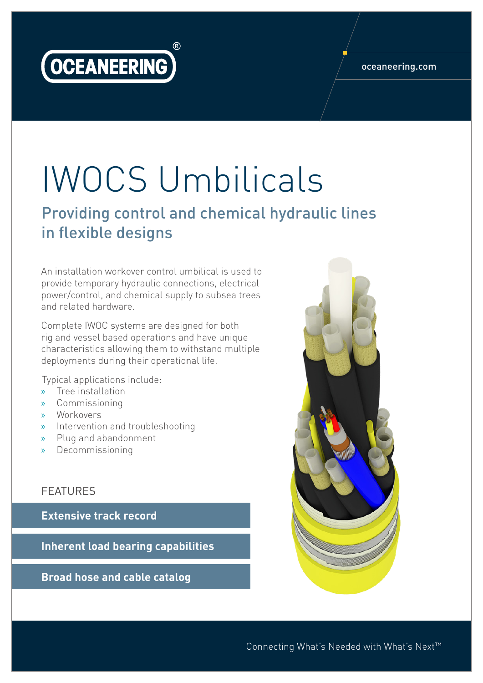

#### oceaneering.com

# IWOCS Umbilicals

### Providing control and chemical hydraulic lines in flexible designs

An installation workover control umbilical is used to provide temporary hydraulic connections, electrical power/control, and chemical supply to subsea trees and related hardware.

Complete IWOC systems are designed for both rig and vessel based operations and have unique characteristics allowing them to withstand multiple deployments during their operational life.

Typical applications include:

- » Tree installation
- » Commissioning
- » Workovers
- » Intervention and troubleshooting
- » Plug and abandonment
- » Decommissioning

#### FEATURES

**Extensive track record**

**Inherent load bearing capabilities**

**Broad hose and cable catalog**



Connecting What's Needed with What's Next™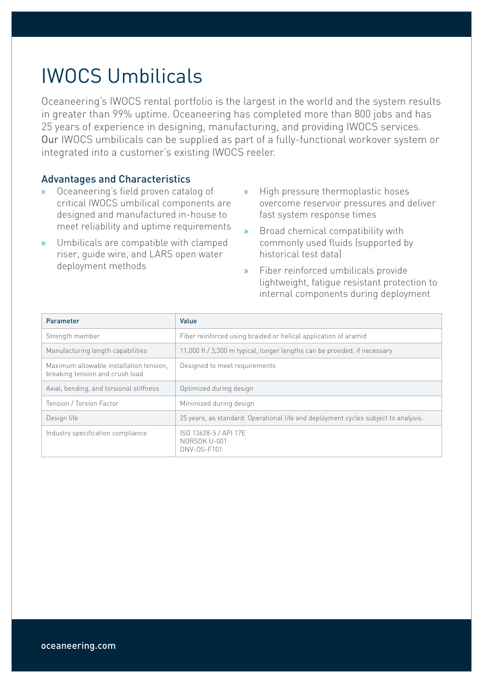## IWOCS Umbilicals

Oceaneering's IWOCS rental portfolio is the largest in the world and the system results in greater than 99% uptime. Oceaneering has completed more than 800 jobs and has 25 years of experience in designing, manufacturing, and providing IWOCS services. Our IWOCS umbilicals can be supplied as part of a fully-functional workover system or integrated into a customer's existing IWOCS reeler.

#### Advantages and Characteristics

- » Oceaneering's field proven catalog of critical IWOCS umbilical components are designed and manufactured in-house to meet reliability and uptime requirements
- » Umbilicals are compatible with clamped riser, guide wire, and LARS open water deployment methods
- » High pressure thermoplastic hoses overcome reservoir pressures and deliver fast system response times
- » Broad chemical compatibility with commonly used fluids (supported by historical test data)
- » Fiber reinforced umbilicals provide lightweight, fatigue resistant protection to internal components during deployment

| Parameter                                                                  | Value                                                                              |
|----------------------------------------------------------------------------|------------------------------------------------------------------------------------|
| Strength member                                                            | Fiber reinforced using braided or helical application of aramid                    |
| Manufacturing length capabilities                                          | 11,000 ft / 3,300 m typical, longer lengths can be provided, if necessary          |
| Maximum allowable installation tension.<br>breaking tension and crush load | Designed to meet requirements                                                      |
| Axial, bending, and torsional stiffness                                    | Optimized during design                                                            |
| Tension / Torsion Factor                                                   | Minimized during design                                                            |
| Design life                                                                | 25 years, as standard. Operational life and deployment cycles subject to analysis. |
| Industry specification compliance                                          | ISO 13628-5 / API 17E<br>NORSOK U-001<br>DNV-0S-F101                               |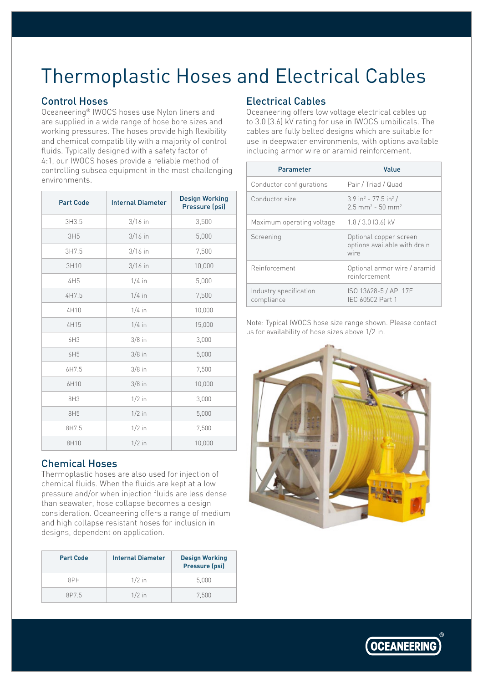## Thermoplastic Hoses and Electrical Cables

#### Control Hoses

Oceaneering® IWOCS hoses use Nylon liners and are supplied in a wide range of hose bore sizes and working pressures. The hoses provide high flexibility and chemical compatibility with a majority of control fluids. Typically designed with a safety factor of 4:1, our IWOCS hoses provide a reliable method of controlling subsea equipment in the most challenging environments.

| <b>Part Code</b> | <b>Internal Diameter</b> | <b>Design Working</b><br>Pressure (psi) |
|------------------|--------------------------|-----------------------------------------|
| 3H3.5            | $3/16$ in                | 3,500                                   |
| 3H5              | $3/16$ in                | 5,000                                   |
| 3H7.5            | $3/16$ in                | 7,500                                   |
| 3H10             | $3/16$ in                | 10,000                                  |
| 4H5              | $1/4$ in                 | 5,000                                   |
| 4H7.5            | $1/4$ in                 | 7,500                                   |
| 4H10             | $1/4$ in                 | 10,000                                  |
| 4H15             | $1/4$ in                 | 15,000                                  |
| 6H3              | $3/8$ in                 | 3,000                                   |
| 6H5              | $3/8$ in                 | 5,000                                   |
| 6H7.5            | $3/8$ in                 | 7,500                                   |
| 6H10             | $3/8$ in                 | 10,000                                  |
| 8H3              | $1/2$ in                 | 3,000                                   |
| 8H5              | $1/2$ in                 | 5,000                                   |
| 8H7.5            | $1/2$ in                 | 7,500                                   |
| 8H10             | $1/2$ in                 | 10,000                                  |

#### Chemical Hoses

Thermoplastic hoses are also used for injection of chemical fluids. When the fluids are kept at a low pressure and/or when injection fluids are less dense than seawater, hose collapse becomes a design consideration. Oceaneering offers a range of medium and high collapse resistant hoses for inclusion in designs, dependent on application.

| <b>Part Code</b> | <b>Internal Diameter</b> | <b>Design Working</b><br>Pressure (psi) |
|------------------|--------------------------|-----------------------------------------|
| 8PH              | $1/2$ in                 | 5.000                                   |
| 8P75             | $1/2$ in                 | 7.500                                   |

#### Electrical Cables

Oceaneering offers low voltage electrical cables up to 3.0 (3.6) kV rating for use in IWOCS umbilicals. The cables are fully belted designs which are suitable for use in deepwater environments, with options available including armor wire or aramid reinforcement.

| Parameter                            | Value                                                                                        |
|--------------------------------------|----------------------------------------------------------------------------------------------|
| Conductor configurations             | Pair / Triad / Quad                                                                          |
| Conductor size                       | $3.9$ in <sup>2</sup> - 77.5 in <sup>2</sup> /<br>$2.5$ mm <sup>2</sup> - 50 mm <sup>2</sup> |
| Maximum operating voltage            | $1.8/3.0$ (3.6) kV                                                                           |
| Screening                            | Optional copper screen<br>options available with drain<br>wire                               |
| Reinforcement                        | Optional armor wire / aramid<br>reinforcement                                                |
| Industry specification<br>compliance | ISO 13628-5 / API 17E<br>IEC 60502 Part 1                                                    |

Note: Typical IWOCS hose size range shown. Please contact us for availability of hose sizes above 1/2 in.